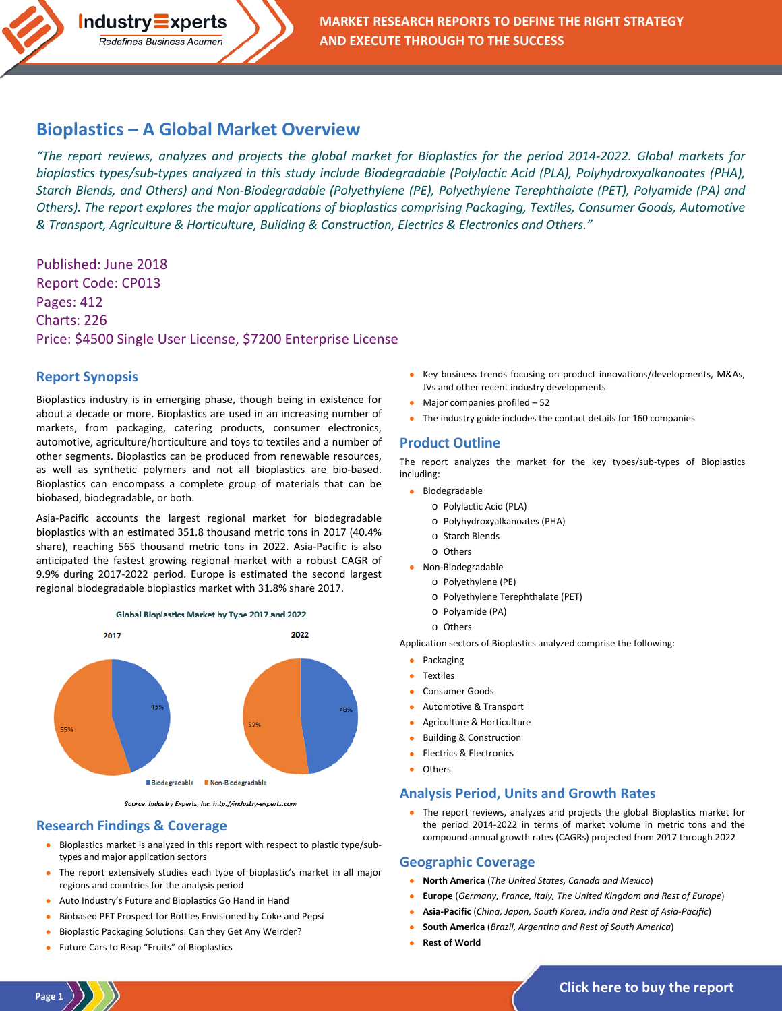

# **Bioplastics – [A Global Market Overview](http://industry-experts.com/verticals/chemicals-and-materials/bioplastics-a-global-market-overview)**

*"The report reviews, analyzes and projects the global market for Bioplastics for the period 2014-2022. Global markets for bioplastics types/sub-types analyzed in this study include Biodegradable (Polylactic Acid (PLA), Polyhydroxyalkanoates (PHA), Starch Blends, and Others) and Non-Biodegradable (Polyethylene (PE), Polyethylene Terephthalate (PET), Polyamide (PA) and Others). The report explores the major applications of bioplastics comprising Packaging, Textiles, Consumer Goods, Automotive & Transport, Agriculture & Horticulture, Building & Construction, Electrics & Electronics and Others."*

Published: June 2018 Report Code: CP013 Pages: 412 Charts: 226 Price: \$4500 Single User License, \$7200 Enterprise License

### **Report Synopsis**

Bioplastics industry is in emerging phase, though being in existence for about a decade or more. Bioplastics are used in an increasing number of markets, from packaging, catering products, consumer electronics, automotive, agriculture/horticulture and toys to textiles and a number of other segments. Bioplastics can be produced from renewable resources, as well as synthetic polymers and not all bioplastics are bio-based. Bioplastics can encompass a complete group of materials that can be biobased, biodegradable, or both.

Asia-Pacific accounts the largest regional market for biodegradable bioplastics with an estimated 351.8 thousand metric tons in 2017 (40.4% share), reaching 565 thousand metric tons in 2022. Asia-Pacific is also anticipated the fastest growing regional market with a robust CAGR of 9.9% during 2017-2022 period. Europe is estimated the second largest regional biodegradable bioplastics market with 31.8% share 2017.



Source: Industry Experts, Inc. http://industry-experts.com

#### **Research Findings & Coverage**

- Bioplastics market is analyzed in this report with respect to plastic type/subtypes and major application sectors
- The report extensively studies each type of bioplastic's market in all major regions and countries for the analysis period
- Auto Industry's Future and Bioplastics Go Hand in Hand
- Biobased PET Prospect for Bottles Envisioned by Coke and Pepsi
- Bioplastic Packaging Solutions: Can they Get Any Weirder?
- Future Cars to Reap "Fruits" of Bioplastics
- Key business trends focusing on product innovations/developments, M&As, JVs and other recent industry developments
- Major companies profiled 52
- The industry guide includes the contact details for 160 companies

### **Product Outline**

The report analyzes the market for the key types/sub-types of Bioplastics including:

- Biodegradable
	- o Polylactic Acid (PLA)
	- o Polyhydroxyalkanoates (PHA)
	- o Starch Blends
	- o Others
- Non-Biodegradable
	- o Polyethylene (PE)
		- o Polyethylene Terephthalate (PET)
		- o Polyamide (PA)
		- o Others

Application sectors of Bioplastics analyzed comprise the following:

- **Packaging**
- Textiles
- Consumer Goods
- Automotive & Transport
- Agriculture & Horticulture
- Building & Construction
- Electrics & Electronics
- **Others**

#### **Analysis Period, Units and Growth Rates**

• The report reviews, analyzes and projects the global Bioplastics market for the period 2014-2022 in terms of market volume in metric tons and the compound annual growth rates (CAGRs) projected from 2017 through 2022

#### **Geographic Coverage**

- **North America** (*The United States, Canada and Mexico*)
- **Europe** (*Germany, France, Italy, The United Kingdom and Rest of Europe*)
- **Asia-Pacific** (*China, Japan, South Korea, India and Rest of Asia-Pacific*)
- **South America** (*Brazil, Argentina and Rest of South America*)
- **Rest of World**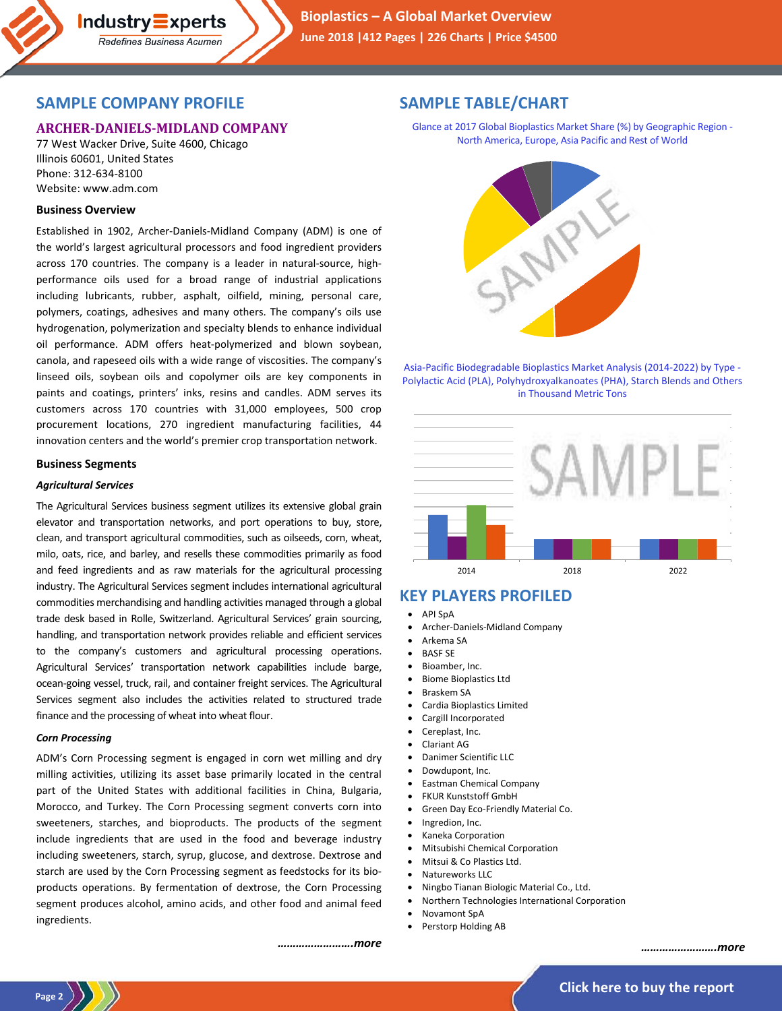

# **SAMPLE COMPANY PROFILE**

**Industry Experts** Redefines Business Acumen

# **ARCHER-DANIELS-MIDLAND COMPANY**

77 West Wacker Drive, Suite 4600, Chicago Illinois 60601, United States Phone: 312-634-8100 Website: www.adm.com

### **Business Overview**

Established in 1902, Archer-Daniels-Midland Company (ADM) is one of the world's largest agricultural processors and food ingredient providers across 170 countries. The company is a leader in natural-source, highperformance oils used for a broad range of industrial applications including lubricants, rubber, asphalt, oilfield, mining, personal care, polymers, coatings, adhesives and many others. The company's oils use hydrogenation, polymerization and specialty blends to enhance individual oil performance. ADM offers heat-polymerized and blown soybean, canola, and rapeseed oils with a wide range of viscosities. The company's linseed oils, soybean oils and copolymer oils are key components in paints and coatings, printers' inks, resins and candles. ADM serves its customers across 170 countries with 31,000 employees, 500 crop procurement locations, 270 ingredient manufacturing facilities, 44 innovation centers and the world's premier crop transportation network.

### **Business Segments**

#### *Agricultural Services*

The Agricultural Services business segment utilizes its extensive global grain elevator and transportation networks, and port operations to buy, store, clean, and transport agricultural commodities, such as oilseeds, corn, wheat, milo, oats, rice, and barley, and resells these commodities primarily as food and feed ingredients and as raw materials for the agricultural processing industry. The Agricultural Services segment includes international agricultural commodities merchandising and handling activities managed through a global trade desk based in Rolle, Switzerland. Agricultural Services' grain sourcing, handling, and transportation network provides reliable and efficient services to the company's customers and agricultural processing operations. Agricultural Services' transportation network capabilities include barge, ocean-going vessel, truck, rail, and container freight services. The Agricultural Services segment also includes the activities related to structured trade finance and the processing of wheat into wheat flour.

#### *Corn Processing*

ADM's Corn Processing segment is engaged in corn wet milling and dry milling activities, utilizing its asset base primarily located in the central part of the United States with additional facilities in China, Bulgaria, Morocco, and Turkey. The Corn Processing segment converts corn into sweeteners, starches, and bioproducts. The products of the segment include ingredients that are used in the food and beverage industry including sweeteners, starch, syrup, glucose, and dextrose. Dextrose and starch are used by the Corn Processing segment as feedstocks for its bioproducts operations. By fermentation of dextrose, the Corn Processing segment produces alcohol, amino acids, and other food and animal feed ingredients.

# **SAMPLE TABLE/CHART**

Glance at 2017 Global Bioplastics Market Share (%) by Geographic Region - North America, Europe, Asia Pacific and Rest of World



Asia-Pacific Biodegradable Bioplastics Market Analysis (2014-2022) by Type - Polylactic Acid (PLA), Polyhydroxyalkanoates (PHA), Starch Blends and Others in Thousand Metric Tons



# **KEY PLAYERS PROFILED**

- API SpA
- Archer-Daniels-Midland Company
- Arkema SA
- **BASF SE**
- Bioamber, Inc.
- Biome Bioplastics Ltd
- Braskem SA
- Cardia Bioplastics Limited
- Cargill Incorporated
- Cereplast, Inc.
- Clariant AG
- Danimer Scientific LLC
- Dowdupont, Inc.
- Eastman Chemical Company • FKUR Kunststoff GmbH
- Green Day Eco-Friendly Material Co.
- Ingredion, Inc.
- Kaneka Corporation
- Mitsubishi Chemical Corporation
- Mitsui & Co Plastics Ltd.
- Natureworks LLC
- Ningbo Tianan Biologic Material Co., Ltd.
- Northern Technologies International Corporation
- Novamont SpA
- Perstorp Holding AB

*…………………….more*

*…………………….more*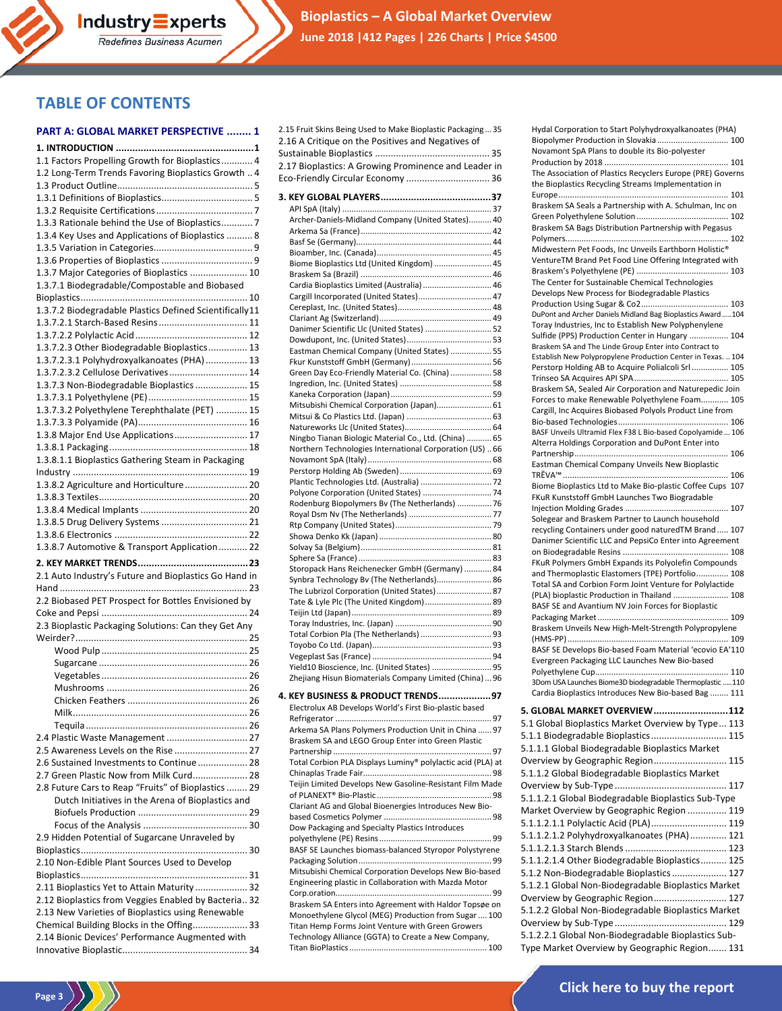

**Bioplastics – A Global Market Overview June 2018 |412 Pages | 226 Charts | Price \$4500**

# **TABLE OF CONTENTS**

#### **PART A: GLOBAL MARKET PERSPECTIVE ........ 1**

Redefines Business Acumen

| 1.1 Factors Propelling Growth for Bioplastics 4         |
|---------------------------------------------------------|
| 1.2 Long-Term Trends Favoring Bioplastics Growth  4     |
|                                                         |
|                                                         |
|                                                         |
| 1.3.3 Rationale behind the Use of Bioplastics 7         |
| 1.3.4 Key Uses and Applications of Bioplastics  8       |
|                                                         |
|                                                         |
| 1.3.7 Major Categories of Bioplastics  10               |
| 1.3.7.1 Biodegradable/Compostable and Biobased          |
|                                                         |
| 1.3.7.2 Biodegradable Plastics Defined Scientifically11 |
|                                                         |
|                                                         |
| 1.3.7.2.3 Other Biodegradable Bioplastics 13            |
| 1.3.7.2.3.1 Polyhydroxyalkanoates (PHA)  13             |
| 1.3.7.2.3.2 Cellulose Derivatives 14                    |
| 1.3.7.3 Non-Biodegradable Bioplastics  15               |
|                                                         |
| 1.3.7.3.2 Polyethylene Terephthalate (PET)  15          |
|                                                         |
| 1.3.8 Major End Use Applications 17                     |
|                                                         |
| 1.3.8.1.1 Bioplastics Gathering Steam in Packaging      |
|                                                         |
| 1.3.8.2 Agriculture and Horticulture 20                 |
|                                                         |
|                                                         |
| 1.3.8.5 Drug Delivery Systems  21                       |
|                                                         |
| 1.3.8.7 Automotive & Transport Application 22           |
|                                                         |
|                                                         |
| 2.1 Auto Industry's Future and Bioplastics Go Hand in   |
|                                                         |
| 2.2 Biobased PET Prospect for Bottles Envisioned by     |
|                                                         |
| 2.3 Bioplastic Packaging Solutions: Can they Get Any    |
|                                                         |
|                                                         |
|                                                         |
|                                                         |
|                                                         |
|                                                         |
|                                                         |
|                                                         |
| 2.4 Plastic Waste Management  27                        |
| 2.5 Awareness Levels on the Rise  27                    |
| 2.6 Sustained Investments to Continue  28               |
| 2.7 Green Plastic Now from Milk Curd 28                 |
| 2.8 Future Cars to Reap "Fruits" of Bioplastics  29     |
| Dutch Initiatives in the Arena of Bioplastics and       |
|                                                         |
|                                                         |
| 2.9 Hidden Potential of Sugarcane Unraveled by          |
|                                                         |
| 2.10 Non-Edible Plant Sources Used to Develop           |
|                                                         |
| 2.11 Bioplastics Yet to Attain Maturity  32             |
| 2.12 Bioplastics from Veggies Enabled by Bacteria 32    |
| 2.13 New Varieties of Bioplastics using Renewable       |
| Chemical Building Blocks in the Offing 33               |
| 2.14 Bionic Devices' Performance Augmented with         |

 $\binom{Page 3}{\binom{3}{2}}$ 

|       | 2.15 Fruit Skins Being Used to Make Bioplastic Packaging35                                                  |
|-------|-------------------------------------------------------------------------------------------------------------|
|       | 2.16 A Critique on the Positives and Negatives of                                                           |
|       | 2.17 Bioplastics: A Growing Prominence and Leader in                                                        |
|       | Eco-Friendly Circular Economy  36                                                                           |
|       |                                                                                                             |
|       |                                                                                                             |
|       | Archer-Daniels-Midland Company (United States) 40                                                           |
|       |                                                                                                             |
|       |                                                                                                             |
|       | Biome Bioplastics Ltd (United Kingdom)  45                                                                  |
|       | Cardia Bioplastics Limited (Australia) 46                                                                   |
|       | Cargill Incorporated (United States) 47                                                                     |
|       |                                                                                                             |
|       | Danimer Scientific Llc (United States)  52                                                                  |
|       |                                                                                                             |
|       | Eastman Chemical Company (United States)  55                                                                |
|       |                                                                                                             |
|       | Green Day Eco-Friendly Material Co. (China)  58                                                             |
|       |                                                                                                             |
|       | Mitsubishi Chemical Corporation (Japan) 61                                                                  |
|       |                                                                                                             |
|       | Ningbo Tianan Biologic Material Co., Ltd. (China)  65                                                       |
|       | Northern Technologies International Corporation (US)  66                                                    |
|       |                                                                                                             |
|       |                                                                                                             |
|       | Polyone Corporation (United States)  74                                                                     |
|       | Rodenburg Biopolymers Bv (The Netherlands)  76                                                              |
|       |                                                                                                             |
|       |                                                                                                             |
|       |                                                                                                             |
|       | Storopack Hans Reichenecker GmbH (Germany)  84                                                              |
|       | Synbra Technology Bv (The Netherlands) 86                                                                   |
|       | The Lubrizol Corporation (United States) 87                                                                 |
|       | Tate & Lyle Plc (The United Kingdom)  89                                                                    |
|       |                                                                                                             |
|       |                                                                                                             |
|       |                                                                                                             |
|       | Yield10 Bioscience, Inc. (United States)  95                                                                |
|       | Zhejiang Hisun Biomaterials Company Limited (China)  96                                                     |
| 4. KI | USINESS & PRODUCT TRENDS97                                                                                  |
|       | Electrolux AB Develops World's First Bio-plastic based                                                      |
|       |                                                                                                             |
|       | Arkema SA Plans Polymers Production Unit in China  97<br>Braskem SA and LEGO Group Enter into Green Plastic |
|       |                                                                                                             |
|       | Total Corbion PLA Displays Luminy® polylactic acid (PLA) at                                                 |
|       |                                                                                                             |
|       | Teijin Limited Develops New Gasoline-Resistant Film Made                                                    |
|       | Clariant AG and Global Bioenergies Introduces New Bio-                                                      |
|       |                                                                                                             |
|       | Dow Packaging and Specialty Plastics Introduces                                                             |
|       | BASF SE Launches biomass-balanced Styropor Polystyrene                                                      |
|       |                                                                                                             |
|       | Mitsubishi Chemical Corporation Develops New Bio-based                                                      |
|       | Engineering plastic in Collaboration with Mazda Motor                                                       |
|       | Braskem SA Enters into Agreement with Haldor Topsøe on                                                      |
|       | Monoethylene Glycol (MEG) Production from Sugar  100                                                        |
|       | Titan Hemp Forms Joint Venture with Green Growers<br>Technology Alliance (GGTA) to Create a New Company,    |
|       |                                                                                                             |

| Hydal Corporation to Start Polyhydroxyalkanoates (PHA)                                                            |  |
|-------------------------------------------------------------------------------------------------------------------|--|
| Biopolymer Production in Slovakia 100                                                                             |  |
| Novamont SpA Plans to double its Bio-polyester                                                                    |  |
| The Association of Plastics Recyclers Europe (PRE) Governs                                                        |  |
| the Bioplastics Recycling Streams Implementation in                                                               |  |
|                                                                                                                   |  |
| Braskem SA Seals a Partnership with A. Schulman, Inc on                                                           |  |
|                                                                                                                   |  |
| Braskem SA Bags Distribution Partnership with Pegasus                                                             |  |
|                                                                                                                   |  |
| Midwestern Pet Foods, Inc Unveils Earthborn Holistic®<br>VentureTM Brand Pet Food Line Offering Integrated with   |  |
|                                                                                                                   |  |
| The Center for Sustainable Chemical Technologies                                                                  |  |
| Develops New Process for Biodegradable Plastics                                                                   |  |
|                                                                                                                   |  |
| DuPont and Archer Daniels Midland Bag Bioplastics Award 104                                                       |  |
| Toray Industries, Inc to Establish New Polyphenylene                                                              |  |
| Sulfide (PPS) Production Center in Hungary  104<br>Braskem SA and The Linde Group Enter into Contract to          |  |
| Establish New Polypropylene Production Center in Texas.  104                                                      |  |
| Perstorp Holding AB to Acquire Polialcoli Srl  105                                                                |  |
|                                                                                                                   |  |
| Braskem SA, Sealed Air Corporation and Naturepedic Join                                                           |  |
| Forces to make Renewable Polyethylene Foam 105                                                                    |  |
| Cargill, Inc Acquires Biobased Polyols Product Line from                                                          |  |
|                                                                                                                   |  |
| BASF Unveils Ultramid Flex F38 L Bio-based Copolyamide  106<br>Alterra Holdings Corporation and DuPont Enter into |  |
|                                                                                                                   |  |
| Eastman Chemical Company Unveils New Bioplastic                                                                   |  |
|                                                                                                                   |  |
| Biome Bioplastics Ltd to Make Bio-plastic Coffee Cups 107                                                         |  |
| FKuR Kunststoff GmbH Launches Two Biogradable                                                                     |  |
|                                                                                                                   |  |
| Solegear and Braskem Partner to Launch household                                                                  |  |
| recycling Containers under good naturedTM Brand  107                                                              |  |
|                                                                                                                   |  |
| Danimer Scientific LLC and PepsiCo Enter into Agreement                                                           |  |
|                                                                                                                   |  |
| FKuR Polymers GmbH Expands its Polyolefin Compounds                                                               |  |
| and Thermoplastic Elastomers (TPE) Portfolio 108                                                                  |  |
| Total SA and Corbion Form Joint Venture for Polylactide<br>(PLA) bioplastic Production in Thailand  108           |  |
| BASF SE and Avantium NV Join Forces for Bioplastic                                                                |  |
|                                                                                                                   |  |
| Braskem Unveils New High-Melt-Strength Polypropylene                                                              |  |
|                                                                                                                   |  |
| BASF SE Develops Bio-based Foam Material 'ecovio EA'110                                                           |  |
| Evergreen Packaging LLC Launches New Bio-based                                                                    |  |
| 3Dom USA Launches Biome3D biodegradable Thermoplastic 110                                                         |  |
| Cardia Bioplastics Introduces New Bio-based Bag  111                                                              |  |
|                                                                                                                   |  |
| 5. GLOBAL MARKET OVERVIEW 112                                                                                     |  |
| 5.1 Global Bioplastics Market Overview by Type 113                                                                |  |
| 5.1.1 Biodegradable Bioplastics 115                                                                               |  |
| 5.1.1.1 Global Biodegradable Bioplastics Market                                                                   |  |
| Overview by Geographic Region 115                                                                                 |  |
| 5.1.1.2 Global Biodegradable Bioplastics Market                                                                   |  |
|                                                                                                                   |  |
| 5.1.1.2.1 Global Biodegradable Bioplastics Sub-Type                                                               |  |
| Market Overview by Geographic Region  119                                                                         |  |
| 5.1.1.2.1.1 Polylactic Acid (PLA) 119                                                                             |  |
| 5.1.1.2.1.2 Polyhydroxyalkanoates (PHA) 121                                                                       |  |
|                                                                                                                   |  |
| 5.1.1.2.1.4 Other Biodegradable Bioplastics 125                                                                   |  |
| 5.1.2 Non-Biodegradable Bioplastics  127                                                                          |  |
| 5.1.2.1 Global Non-Biodegradable Bioplastics Market                                                               |  |
| Overview by Geographic Region 127                                                                                 |  |
| 5.1.2.2 Global Non-Biodegradable Bioplastics Market                                                               |  |
|                                                                                                                   |  |

Type Market Overview by Geographic Region....... 131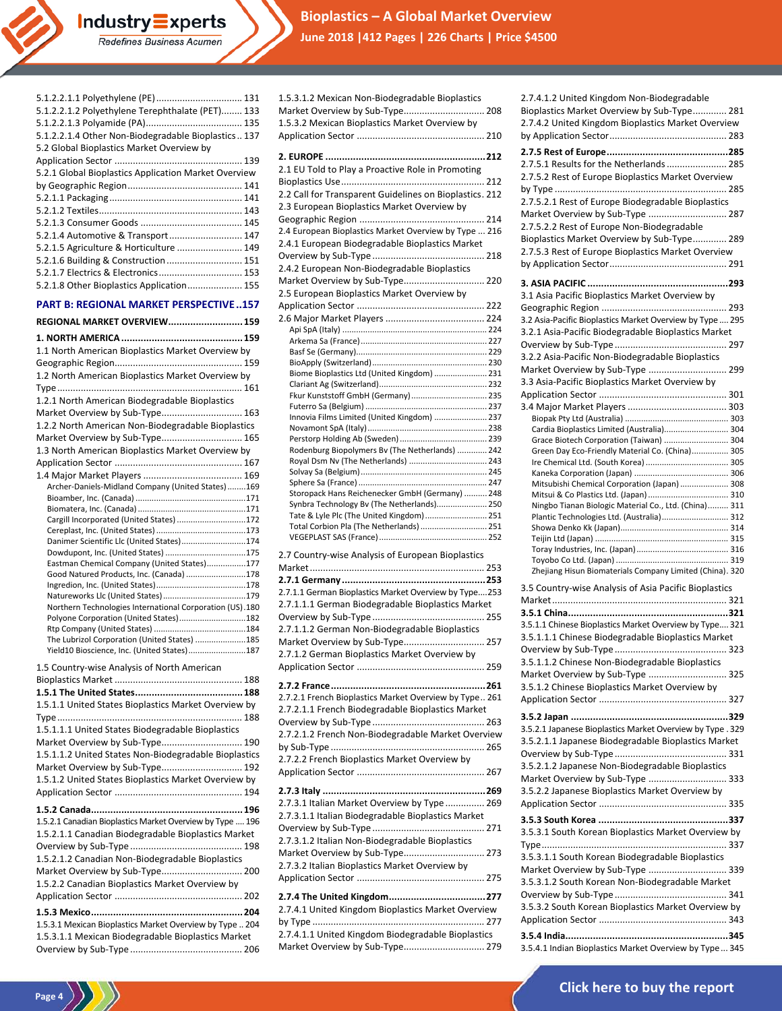**Bioplastics – A Global Market Overview Industry Experts**<br>Redefines Business Acumen **June 2018 |412 Pages | 226 Charts | Price \$4500**

| 5.1.2.2.1.1 Polyethylene (PE)  131<br>5.1.2.2.1.2 Polyethylene Terephthalate (PET) 133<br>5.1.2.2.1.4 Other Non-Biodegradable Bioplastics 137<br>5.2 Global Bioplastics Market Overview by<br>5.2.1 Global Bioplastics Application Market Overview<br>5.2.1.4 Automotive & Transport  147<br>5.2.1.5 Agriculture & Horticulture  149<br>5.2.1.6 Building & Construction  151<br>5.2.1.7 Electrics & Electronics 153<br>5.2.1.8 Other Bioplastics Application 155 |
|------------------------------------------------------------------------------------------------------------------------------------------------------------------------------------------------------------------------------------------------------------------------------------------------------------------------------------------------------------------------------------------------------------------------------------------------------------------|
| <b>PART B: REGIONAL MARKET PERSPECTIVE157</b>                                                                                                                                                                                                                                                                                                                                                                                                                    |
| REGIONAL MARKET OVERVIEW 159                                                                                                                                                                                                                                                                                                                                                                                                                                     |
| 1.1 North American Bioplastics Market Overview by                                                                                                                                                                                                                                                                                                                                                                                                                |
|                                                                                                                                                                                                                                                                                                                                                                                                                                                                  |
| 1.2 North American Bioplastics Market Overview by                                                                                                                                                                                                                                                                                                                                                                                                                |
|                                                                                                                                                                                                                                                                                                                                                                                                                                                                  |
| 1.2.1 North American Biodegradable Bioplastics<br>Market Overview by Sub-Type 163                                                                                                                                                                                                                                                                                                                                                                                |
| 1.2.2 North American Non-Biodegradable Bioplastics                                                                                                                                                                                                                                                                                                                                                                                                               |
| Market Overview by Sub-Type 165                                                                                                                                                                                                                                                                                                                                                                                                                                  |
| 1.3 North American Bioplastics Market Overview by                                                                                                                                                                                                                                                                                                                                                                                                                |
|                                                                                                                                                                                                                                                                                                                                                                                                                                                                  |
| Archer-Daniels-Midland Company (United States)169                                                                                                                                                                                                                                                                                                                                                                                                                |
|                                                                                                                                                                                                                                                                                                                                                                                                                                                                  |
| Cargill Incorporated (United States) 172                                                                                                                                                                                                                                                                                                                                                                                                                         |
|                                                                                                                                                                                                                                                                                                                                                                                                                                                                  |
| Danimer Scientific Llc (United States)174<br>Dowdupont, Inc. (United States) 175                                                                                                                                                                                                                                                                                                                                                                                 |
| Eastman Chemical Company (United States)177                                                                                                                                                                                                                                                                                                                                                                                                                      |
| Good Natured Products, Inc. (Canada) 178                                                                                                                                                                                                                                                                                                                                                                                                                         |
|                                                                                                                                                                                                                                                                                                                                                                                                                                                                  |
| Northern Technologies International Corporation (US).180                                                                                                                                                                                                                                                                                                                                                                                                         |
| Polyone Corporation (United States)182                                                                                                                                                                                                                                                                                                                                                                                                                           |
| The Lubrizol Corporation (United States) 185                                                                                                                                                                                                                                                                                                                                                                                                                     |
| Yield10 Bioscience, Inc. (United States)187                                                                                                                                                                                                                                                                                                                                                                                                                      |
| 1.5 Country-wise Analysis of North American                                                                                                                                                                                                                                                                                                                                                                                                                      |
|                                                                                                                                                                                                                                                                                                                                                                                                                                                                  |
| 1.5.1.1 United States Bioplastics Market Overview by                                                                                                                                                                                                                                                                                                                                                                                                             |
|                                                                                                                                                                                                                                                                                                                                                                                                                                                                  |
| 1.5.1.1.1 United States Biodegradable Bioplastics                                                                                                                                                                                                                                                                                                                                                                                                                |
| Market Overview by Sub-Type 190                                                                                                                                                                                                                                                                                                                                                                                                                                  |
| 1.5.1.1.2 United States Non-Biodegradable Bioplastics                                                                                                                                                                                                                                                                                                                                                                                                            |
| Market Overview by Sub-Type 192<br>1.5.1.2 United States Bioplastics Market Overview by                                                                                                                                                                                                                                                                                                                                                                          |
|                                                                                                                                                                                                                                                                                                                                                                                                                                                                  |
|                                                                                                                                                                                                                                                                                                                                                                                                                                                                  |
| 1.5.2.1 Canadian Bioplastics Market Overview by Type  196                                                                                                                                                                                                                                                                                                                                                                                                        |
| 1.5.2.1.1 Canadian Biodegradable Bioplastics Market                                                                                                                                                                                                                                                                                                                                                                                                              |
|                                                                                                                                                                                                                                                                                                                                                                                                                                                                  |
| 1.5.2.1.2 Canadian Non-Biodegradable Bioplastics<br>Market Overview by Sub-Type 200                                                                                                                                                                                                                                                                                                                                                                              |
| 1.5.2.2 Canadian Bioplastics Market Overview by                                                                                                                                                                                                                                                                                                                                                                                                                  |
|                                                                                                                                                                                                                                                                                                                                                                                                                                                                  |
|                                                                                                                                                                                                                                                                                                                                                                                                                                                                  |
| 1.5.3.1 Mexican Bioplastics Market Overview by Type  204                                                                                                                                                                                                                                                                                                                                                                                                         |
| 1.5.3.1.1 Mexican Biodegradable Bioplastics Market                                                                                                                                                                                                                                                                                                                                                                                                               |
|                                                                                                                                                                                                                                                                                                                                                                                                                                                                  |

 $\binom{Page 4}{\binom{3}{2}}$ 

| 1.5.3.1.2 Mexican Non-Biodegradable Bioplastics<br>Market Overview by Sub-Type 208<br>1.5.3.2 Mexican Bioplastics Market Overview by |
|--------------------------------------------------------------------------------------------------------------------------------------|
| 2.1 EU Told to Play a Proactive Role in Promoting                                                                                    |
| 2.2 Call for Transparent Guidelines on Bioplastics. 212                                                                              |
| 2.3 European Bioplastics Market Overview by<br>2.4 European Bioplastics Market Overview by Type  216                                 |
| 2.4.1 European Biodegradable Bioplastics Market                                                                                      |
| 2.4.2 European Non-Biodegradable Bioplastics<br>Market Overview by Sub-Type 220<br>2.5 European Bioplastics Market Overview by       |
|                                                                                                                                      |
|                                                                                                                                      |
| Biome Bioplastics Ltd (United Kingdom)  231                                                                                          |
| Fkur Kunststoff GmbH (Germany) 235                                                                                                   |
| Innovia Films Limited (United Kingdom)  237                                                                                          |
| Rodenburg Biopolymers Bv (The Netherlands)  242<br>Royal Dsm Nv (The Netherlands)  243                                               |
| Storopack Hans Reichenecker GmbH (Germany)  248                                                                                      |
| Synbra Technology Bv (The Netherlands) 250<br>Tate & Lyle Plc (The United Kingdom) 251<br>Total Corbion Pla (The Netherlands)  251   |
| 2.7 Country-wise Analysis of European Bioplastics                                                                                    |
| 2.7.1.1 German Bioplastics Market Overview by Type253                                                                                |
| 2.7.1.1.1 German Biodegradable Bioplastics Market                                                                                    |
| 2.7.1.1.2 German Non-Biodegradable Bioplastics<br>Market Overview by Sub-Type 257<br>2.7.1.2 German Bioplastics Market Overview by   |
|                                                                                                                                      |
| 2.7.2.1 French Bioplastics Market Overview by Type 261<br>2.7.2.1.1 French Biodegradable Bioplastics Market                          |
| 2.7.2.1.2 French Non-Biodegradable Market Overview<br>2.7.2.2 French Bioplastics Market Overview by                                  |
|                                                                                                                                      |
| 2.7.3.1 Italian Market Overview by Type  269<br>2.7.3.1.1 Italian Biodegradable Bioplastics Market                                   |
| 2.7.3.1.2 Italian Non-Biodegradable Bioplastics<br>Market Overview by Sub-Type 273<br>2.7.3.2 Italian Bioplastics Market Overview by |
|                                                                                                                                      |
| 2.7.4.1 United Kingdom Bioplastics Market Overview                                                                                   |
| 2.7.4.1.1 United Kingdom Biodegradable Bioplastics<br>Market Overview by Sub-Type 279                                                |

| 2.7.4.1.2 United Kingdom Non-Biodegradable                 |
|------------------------------------------------------------|
| Bioplastics Market Overview by Sub-Type 281                |
| 2.7.4.2 United Kingdom Bioplastics Market Overview         |
|                                                            |
|                                                            |
|                                                            |
| 2.7.5.1 Results for the Netherlands  285                   |
| 2.7.5.2 Rest of Europe Bioplastics Market Overview         |
|                                                            |
| 2.7.5.2.1 Rest of Europe Biodegradable Bioplastics         |
| Market Overview by Sub-Type  287                           |
| 2.7.5.2.2 Rest of Europe Non-Biodegradable                 |
| Bioplastics Market Overview by Sub-Type 289                |
| 2.7.5.3 Rest of Europe Bioplastics Market Overview         |
|                                                            |
|                                                            |
|                                                            |
| 3.1 Asia Pacific Bioplastics Market Overview by            |
|                                                            |
| 3.2 Asia-Pacific Bioplastics Market Overview by Type  295  |
| 3.2.1 Asia-Pacific Biodegradable Bioplastics Market        |
|                                                            |
| 3.2.2 Asia-Pacific Non-Biodegradable Bioplastics           |
|                                                            |
| Market Overview by Sub-Type  299                           |
| 3.3 Asia-Pacific Bioplastics Market Overview by            |
|                                                            |
|                                                            |
|                                                            |
| Cardia Bioplastics Limited (Australia) 304                 |
| Grace Biotech Corporation (Taiwan)  304                    |
| Green Day Eco-Friendly Material Co. (China) 305            |
|                                                            |
|                                                            |
| Mitsubishi Chemical Corporation (Japan)  308               |
| Mitsui & Co Plastics Ltd. (Japan)  310                     |
| Ningbo Tianan Biologic Material Co., Ltd. (China) 311      |
| Plantic Technologies Ltd. (Australia) 312                  |
|                                                            |
|                                                            |
|                                                            |
|                                                            |
| Zhejiang Hisun Biomaterials Company Limited (China). 320   |
| 3.5 Country-wise Analysis of Asia Pacific Bioplastics      |
|                                                            |
|                                                            |
|                                                            |
|                                                            |
| 3.5.1.1 Chinese Bioplastics Market Overview by Type 321    |
| 3.5.1.1.1 Chinese Biodegradable Bioplastics Market         |
|                                                            |
| 3.5.1.1.2 Chinese Non-Biodegradable Bioplastics            |
| Market Overview by Sub-Type  325                           |
| 3.5.1.2 Chinese Bioplastics Market Overview by             |
|                                                            |
|                                                            |
|                                                            |
| 3.5.2.1 Japanese Bioplastics Market Overview by Type . 329 |
| 3.5.2.1.1 Japanese Biodegradable Bioplastics Market        |
|                                                            |
| 3.5.2.1.2 Japanese Non-Biodegradable Bioplastics           |
|                                                            |
| Market Overview by Sub-Type  333                           |
| 3.5.2.2 Japanese Bioplastics Market Overview by            |
|                                                            |
|                                                            |
| 3.5.3.1 South Korean Bioplastics Market Overview by        |
|                                                            |
| 3.5.3.1.1 South Korean Biodegradable Bioplastics           |
|                                                            |
| Market Overview by Sub-Type  339                           |
| 3.5.3.1.2 South Korean Non-Biodegradable Market            |
|                                                            |
| 3.5.3.2 South Korean Bioplastics Market Overview by        |
|                                                            |
| 3.5.4.1 Indian Bioplastics Market Overview by Type 345     |